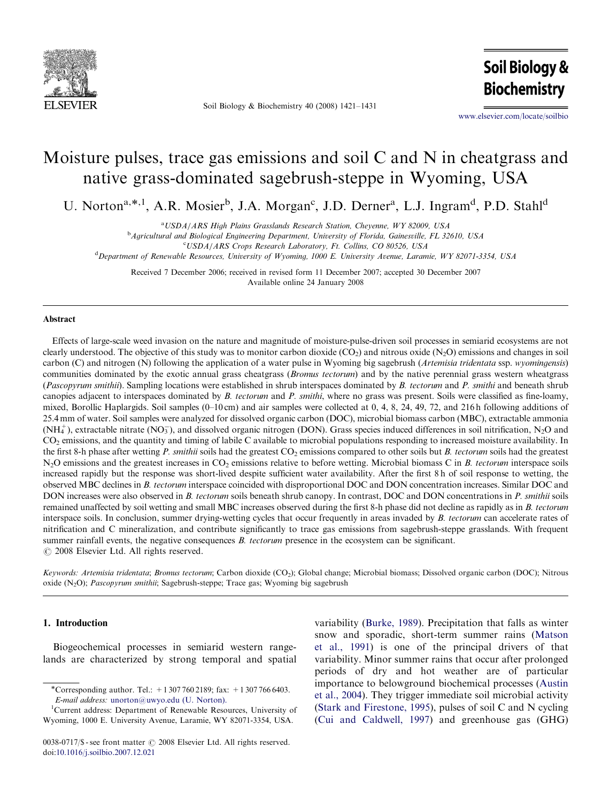

Soil Biology & Biochemistry 40 (2008) 1421–1431

Soil Biology & **Biochemistry** 

<www.elsevier.com/locate/soilbio>

# Moisture pulses, trace gas emissions and soil C and N in cheatgrass and native grass-dominated sagebrush-steppe in Wyoming, USA

U. Norton<sup>a,\*,1</sup>, A.R. Mosier<sup>b</sup>, J.A. Morgan<sup>c</sup>, J.D. Derner<sup>a</sup>, L.J. Ingram<sup>d</sup>, P.D. Stahl<sup>d</sup>

<sup>a</sup>USDA/ARS High Plains Grasslands Research Station, Cheyenne, WY 82009, USA

<sup>b</sup>Agricultural and Biological Engineering Department, University of Florida, Gainesville, FL 32610, USA

CUSDA/ARS Crops Research Laboratory, Ft. Collins, CO 80526, USA

d Department of Renewable Resources, University of Wyoming, 1000 E. University Avenue, Laramie, WY 82071-3354, USA

Received 7 December 2006; received in revised form 11 December 2007; accepted 30 December 2007 Available online 24 January 2008

## Abstract

Effects of large-scale weed invasion on the nature and magnitude of moisture-pulse-driven soil processes in semiarid ecosystems are not clearly understood. The objective of this study was to monitor carbon dioxide  $(CO_2)$  and nitrous oxide  $(N_2O)$  emissions and changes in soil carbon (C) and nitrogen (N) following the application of a water pulse in Wyoming big sagebrush (Artemisia tridentata ssp. wyomingensis) communities dominated by the exotic annual grass cheatgrass (*Bromus tectorum*) and by the native perennial grass western wheatgrass (Pascopyrum smithii). Sampling locations were established in shrub interspaces dominated by B. tectorum and P. smithi and beneath shrub canopies adjacent to interspaces dominated by B. tectorum and P. smithi, where no grass was present. Soils were classified as fine-loamy, mixed, Borollic Haplargids. Soil samples (0–10 cm) and air samples were collected at 0, 4, 8, 24, 49, 72, and 216 h following additions of 25.4 mm of water. Soil samples were analyzed for dissolved organic carbon (DOC), microbial biomass carbon (MBC), extractable ammonia  $(NH_4^+)$ , extractable nitrate  $(NO_3^-)$ , and dissolved organic nitrogen (DON). Grass species induced differences in soil nitrification, N<sub>2</sub>O and CO2 emissions, and the quantity and timing of labile C available to microbial populations responding to increased moisture availability. In the first 8-h phase after wetting P. smithii soils had the greatest  $CO<sub>2</sub>$  emissions compared to other soils but B. tectorum soils had the greatest  $N<sub>2</sub>O$  emissions and the greatest increases in  $CO<sub>2</sub>$  emissions relative to before wetting. Microbial biomass C in B. tectorum interspace soils increased rapidly but the response was short-lived despite sufficient water availability. After the first 8 h of soil response to wetting, the observed MBC declines in B. tectorum interspace coincided with disproportional DOC and DON concentration increases. Similar DOC and DON increases were also observed in B. tectorum soils beneath shrub canopy. In contrast, DOC and DON concentrations in P. smithii soils remained unaffected by soil wetting and small MBC increases observed during the first 8-h phase did not decline as rapidly as in B. tectorum interspace soils. In conclusion, summer drying-wetting cycles that occur frequently in areas invaded by B. tectorum can accelerate rates of nitrification and C mineralization, and contribute significantly to trace gas emissions from sagebrush-steppe grasslands. With frequent summer rainfall events, the negative consequences B. tectorum presence in the ecosystem can be significant.  $C$  2008 Elsevier Ltd. All rights reserved.

Keywords: Artemisia tridentata; Bromus tectorum; Carbon dioxide (CO<sub>2</sub>); Global change; Microbial biomass; Dissolved organic carbon (DOC); Nitrous oxide (N<sub>2</sub>O); *Pascopyrum smithii*; Sagebrush-steppe; Trace gas; Wyoming big sagebrush

## 1. Introduction

Biogeochemical processes in semiarid western rangelands are characterized by strong temporal and spatial variability ([Burke, 1989\)](#page-9-0). Precipitation that falls as winter snow and sporadic, short-term summer rains ([Matson](#page-10-0) [et al., 1991](#page-10-0)) is one of the principal drivers of that variability. Minor summer rains that occur after prolonged periods of dry and hot weather are of particular importance to belowground biochemical processes ([Austin](#page-9-0) [et al., 2004](#page-9-0)). They trigger immediate soil microbial activity ([Stark and Firestone, 1995\)](#page-10-0), pulses of soil C and N cycling ([Cui and Caldwell, 1997](#page-10-0)) and greenhouse gas (GHG)

<sup>\*</sup>Corresponding author. Tel.:  $+13077602189$ ; fax:  $+13077666403$ . E-mail address: [unorton@uwyo.edu \(U. Norton\).](mailto:unorton@uwyo.edu) <sup>1</sup>

Current address: Department of Renewable Resources, University of Wyoming, 1000 E. University Avenue, Laramie, WY 82071-3354, USA.

<sup>0038-0717/\$ -</sup> see front matter © 2008 Elsevier Ltd. All rights reserved. doi:[10.1016/j.soilbio.2007.12.021](dx.doi.org/10.1016/j.soilbio.2007.12.021)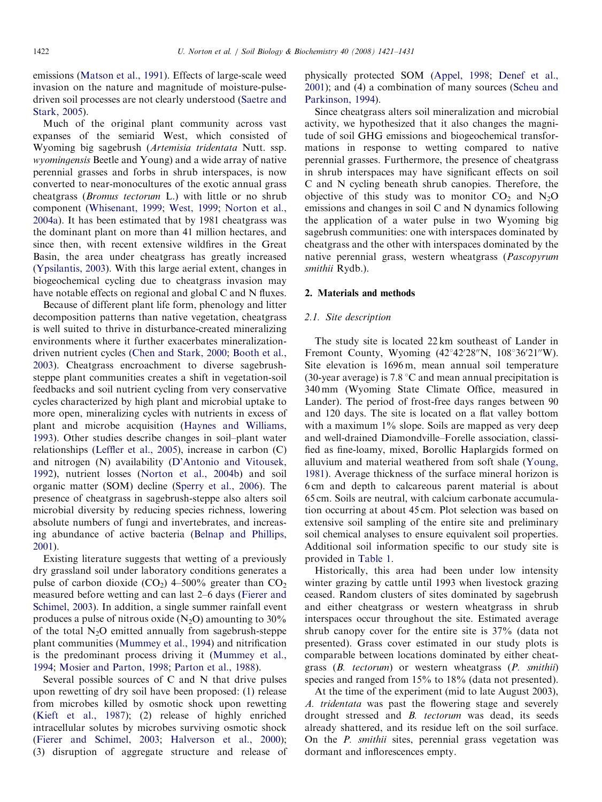emissions [\(Matson et al., 1991](#page-10-0)). Effects of large-scale weed invasion on the nature and magnitude of moisture-pulsedriven soil processes are not clearly understood ([Saetre and](#page-10-0) [Stark, 2005\)](#page-10-0).

Much of the original plant community across vast expanses of the semiarid West, which consisted of Wyoming big sagebrush (Artemisia tridentata Nutt. ssp. wyomingensis Beetle and Young) and a wide array of native perennial grasses and forbs in shrub interspaces, is now converted to near-monocultures of the exotic annual grass cheatgrass (Bromus tectorum L.) with little or no shrub component [\(Whisenant, 1999;](#page-10-0) [West, 1999;](#page-10-0) [Norton et al.,](#page-10-0) [2004a\)](#page-10-0). It has been estimated that by 1981 cheatgrass was the dominant plant on more than 41 million hectares, and since then, with recent extensive wildfires in the Great Basin, the area under cheatgrass has greatly increased [\(Ypsilantis, 2003\)](#page-10-0). With this large aerial extent, changes in biogeochemical cycling due to cheatgrass invasion may have notable effects on regional and global C and N fluxes.

Because of different plant life form, phenology and litter decomposition patterns than native vegetation, cheatgrass is well suited to thrive in disturbance-created mineralizing environments where it further exacerbates mineralizationdriven nutrient cycles ([Chen and Stark, 2000;](#page-10-0) [Booth et al.,](#page-9-0) [2003\)](#page-9-0). Cheatgrass encroachment to diverse sagebrushsteppe plant communities creates a shift in vegetation-soil feedbacks and soil nutrient cycling from very conservative cycles characterized by high plant and microbial uptake to more open, mineralizing cycles with nutrients in excess of plant and microbe acquisition [\(Haynes and Williams,](#page-10-0) [1993\)](#page-10-0). Other studies describe changes in soil–plant water relationships ([Leffler et al., 2005\)](#page-10-0), increase in carbon (C) and nitrogen (N) availability [\(D'Antonio and Vitousek,](#page-10-0) [1992\)](#page-10-0), nutrient losses [\(Norton et al., 2004b\)](#page-10-0) and soil organic matter (SOM) decline ([Sperry et al., 2006\)](#page-10-0). The presence of cheatgrass in sagebrush-steppe also alters soil microbial diversity by reducing species richness, lowering absolute numbers of fungi and invertebrates, and increasing abundance of active bacteria [\(Belnap and Phillips,](#page-9-0) [2001\)](#page-9-0).

Existing literature suggests that wetting of a previously dry grassland soil under laboratory conditions generates a pulse of carbon dioxide  $(CO_2)$  4–500% greater than  $CO_2$ measured before wetting and can last 2–6 days ([Fierer and](#page-10-0) [Schimel, 2003\)](#page-10-0). In addition, a single summer rainfall event produces a pulse of nitrous oxide  $(N_2O)$  amounting to 30% of the total  $N_2O$  emitted annually from sagebrush-steppe plant communities [\(Mummey et al., 1994\)](#page-10-0) and nitrification is the predominant process driving it ([Mummey et al.,](#page-10-0) [1994;](#page-10-0) [Mosier and Parton, 1998;](#page-10-0) [Parton et al., 1988\)](#page-10-0).

Several possible sources of C and N that drive pulses upon rewetting of dry soil have been proposed: (1) release from microbes killed by osmotic shock upon rewetting [\(Kieft et al., 1987](#page-10-0)); (2) release of highly enriched intracellular solutes by microbes surviving osmotic shock [\(Fierer and Schimel, 2003](#page-10-0); [Halverson et al., 2000\)](#page-10-0); (3) disruption of aggregate structure and release of physically protected SOM ([Appel, 1998](#page-9-0); [Denef et al.,](#page-10-0) [2001\)](#page-10-0); and (4) a combination of many sources [\(Scheu and](#page-10-0) [Parkinson, 1994](#page-10-0)).

Since cheatgrass alters soil mineralization and microbial activity, we hypothesized that it also changes the magnitude of soil GHG emissions and biogeochemical transformations in response to wetting compared to native perennial grasses. Furthermore, the presence of cheatgrass in shrub interspaces may have significant effects on soil C and N cycling beneath shrub canopies. Therefore, the objective of this study was to monitor  $CO<sub>2</sub>$  and  $N<sub>2</sub>O$ emissions and changes in soil C and N dynamics following the application of a water pulse in two Wyoming big sagebrush communities: one with interspaces dominated by cheatgrass and the other with interspaces dominated by the native perennial grass, western wheatgrass (Pascopyrum smithii Rydb.).

#### 2. Materials and methods

#### 2.1. Site description

The study site is located 22 km southeast of Lander in Fremont County, Wyoming (42°42'28"N, 108°36'21"W). Site elevation is 1696 m, mean annual soil temperature (30-year average) is 7.8  $\degree$ C and mean annual precipitation is 340 mm (Wyoming State Climate Office, measured in Lander). The period of frost-free days ranges between 90 and 120 days. The site is located on a flat valley bottom with a maximum 1% slope. Soils are mapped as very deep and well-drained Diamondville–Forelle association, classified as fine-loamy, mixed, Borollic Haplargids formed on alluvium and material weathered from soft shale ([Young,](#page-10-0) [1981\)](#page-10-0). Average thickness of the surface mineral horizon is 6 cm and depth to calcareous parent material is about 65 cm. Soils are neutral, with calcium carbonate accumulation occurring at about 45 cm. Plot selection was based on extensive soil sampling of the entire site and preliminary soil chemical analyses to ensure equivalent soil properties. Additional soil information specific to our study site is provided in [Table 1](#page-2-0).

Historically, this area had been under low intensity winter grazing by cattle until 1993 when livestock grazing ceased. Random clusters of sites dominated by sagebrush and either cheatgrass or western wheatgrass in shrub interspaces occur throughout the site. Estimated average shrub canopy cover for the entire site is 37% (data not presented). Grass cover estimated in our study plots is comparable between locations dominated by either cheatgrass (B. tectorum) or western wheatgrass (P. smithii) species and ranged from 15% to 18% (data not presented).

At the time of the experiment (mid to late August 2003), A. tridentata was past the flowering stage and severely drought stressed and B. tectorum was dead, its seeds already shattered, and its residue left on the soil surface. On the P. smithii sites, perennial grass vegetation was dormant and inflorescences empty.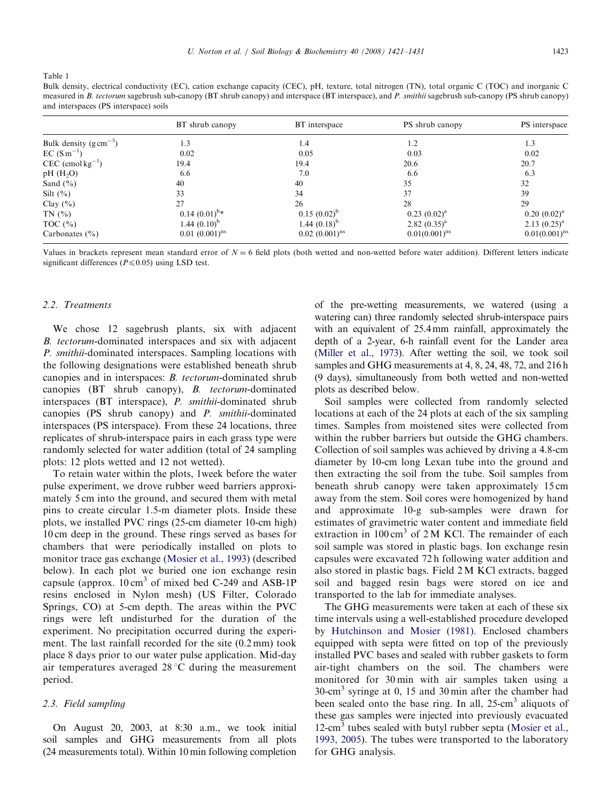<span id="page-2-0"></span>Table 1

Bulk density, electrical conductivity (EC), cation exchange capacity (CEC), pH, texture, total nitrogen (TN), total organic C (TOC) and inorganic C measured in B. tectorum sagebrush sub-canopy (BT shrub canopy) and interspace (BT interspace), and P. smithii sagebrush sub-canopy (PS shrub canopy) and interspaces (PS interspace) soils

|                                    | BT shrub canopy     | BT interspace         | PS shrub canopy    | PS interspace      |
|------------------------------------|---------------------|-----------------------|--------------------|--------------------|
| Bulk density $(g \text{ cm}^{-3})$ | 1.3                 | 1.4                   | 1.2                | 1.3                |
| $EC(Sm^{-1})$                      | 0.02                | 0.05                  | 0.03               | 0.02               |
| $CEC$ (cmol $kg^{-1}$ )            | 19.4                | 19.4                  | 20.6               | 20.7               |
| $pH$ (H <sub>2</sub> O)            | 6.6                 | 7.0                   | 6.6                | 6.3                |
| Sand $(\% )$                       | 40                  | 40                    | 35                 | 32                 |
| Silt $(\% )$                       | 33                  | 34                    | 37                 | 39                 |
| Clay $(\% )$                       | 27                  | 26                    | 28                 | 29                 |
| TN(%                               | $0.14 (0.01)^{b*}$  | $0.15(0.02)^{b}$      | $0.23 (0.02)^a$    | $0.20~(0.02)^a$    |
| TOC $(\% )$                        | 1.44 $(0.10)^b$     | 1.44 $(0.18)^{b}$     | 2.82 $(0.35)^a$    | 2.13 $(0.25)^a$    |
| Carbonates $(\% )$                 | $0.01~(0.001)^{ns}$ | $0.02$ $(0.001)^{ns}$ | $0.01(0.001)^{ns}$ | $0.01(0.001)^{ns}$ |

Values in brackets represent mean standard error of  $N = 6$  field plots (both wetted and non-wetted before water addition). Different letters indicate significant differences ( $P \le 0.05$ ) using LSD test.

#### 2.2. Treatments

We chose 12 sagebrush plants, six with adjacent B. tectorum-dominated interspaces and six with adjacent P. smithii-dominated interspaces. Sampling locations with the following designations were established beneath shrub canopies and in interspaces: B. tectorum-dominated shrub canopies (BT shrub canopy), B. tectorum-dominated interspaces (BT interspace), P. smithii-dominated shrub canopies (PS shrub canopy) and P. smithii-dominated interspaces (PS interspace). From these 24 locations, three replicates of shrub-interspace pairs in each grass type were randomly selected for water addition (total of 24 sampling plots: 12 plots wetted and 12 not wetted).

To retain water within the plots, 1week before the water pulse experiment, we drove rubber weed barriers approximately 5 cm into the ground, and secured them with metal pins to create circular 1.5-m diameter plots. Inside these plots, we installed PVC rings (25-cm diameter 10-cm high) 10 cm deep in the ground. These rings served as bases for chambers that were periodically installed on plots to monitor trace gas exchange [\(Mosier et al., 1993](#page-10-0)) (described below). In each plot we buried one ion exchange resin capsule (approx.  $10 \text{ cm}^3$  of mixed bed C-249 and ASB-1P resins enclosed in Nylon mesh) (US Filter, Colorado Springs, CO) at 5-cm depth. The areas within the PVC rings were left undisturbed for the duration of the experiment. No precipitation occurred during the experiment. The last rainfall recorded for the site (0.2 mm) took place 8 days prior to our water pulse application. Mid-day air temperatures averaged  $28\degree C$  during the measurement period.

# 2.3. Field sampling

On August 20, 2003, at 8:30 a.m., we took initial soil samples and GHG measurements from all plots (24 measurements total). Within 10 min following completion of the pre-wetting measurements, we watered (using a watering can) three randomly selected shrub-interspace pairs with an equivalent of 25.4 mm rainfall, approximately the depth of a 2-year, 6-h rainfall event for the Lander area ([Miller et al., 1973](#page-10-0)). After wetting the soil, we took soil samples and GHG measurements at 4, 8, 24, 48, 72, and 216 h (9 days), simultaneously from both wetted and non-wetted plots as described below.

Soil samples were collected from randomly selected locations at each of the 24 plots at each of the six sampling times. Samples from moistened sites were collected from within the rubber barriers but outside the GHG chambers. Collection of soil samples was achieved by driving a 4.8-cm diameter by 10-cm long Lexan tube into the ground and then extracting the soil from the tube. Soil samples from beneath shrub canopy were taken approximately 15 cm away from the stem. Soil cores were homogenized by hand and approximate 10-g sub-samples were drawn for estimates of gravimetric water content and immediate field extraction in  $100 \text{ cm}^3$  of 2 M KCl. The remainder of each soil sample was stored in plastic bags. Ion exchange resin capsules were excavated 72 h following water addition and also stored in plastic bags. Field 2 M KCl extracts, bagged soil and bagged resin bags were stored on ice and transported to the lab for immediate analyses.

The GHG measurements were taken at each of these six time intervals using a well-established procedure developed by [Hutchinson and Mosier \(1981\).](#page-10-0) Enclosed chambers equipped with septa were fitted on top of the previously installed PVC bases and sealed with rubber gaskets to form air-tight chambers on the soil. The chambers were monitored for 30 min with air samples taken using a 30-cm<sup>3</sup> syringe at 0, 15 and 30 min after the chamber had been sealed onto the base ring. In all,  $25$ -cm<sup>3</sup> aliquots of these gas samples were injected into previously evacuated  $12$ -cm<sup>3</sup> tubes sealed with butyl rubber septa ([Mosier et al.,](#page-10-0) [1993, 2005](#page-10-0)). The tubes were transported to the laboratory for GHG analysis.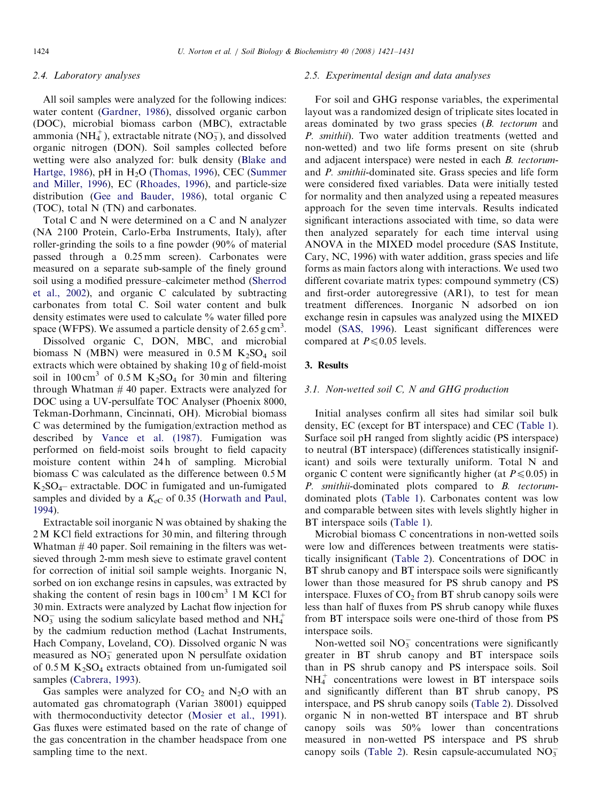# 2.4. Laboratory analyses

All soil samples were analyzed for the following indices: water content [\(Gardner, 1986\)](#page-10-0), dissolved organic carbon (DOC), microbial biomass carbon (MBC), extractable ammonia (NH $_4^+$ ), extractable nitrate (NO<sub>3</sub>), and dissolved organic nitrogen (DON). Soil samples collected before wetting were also analyzed for: bulk density ([Blake and](#page-9-0) [Hartge, 1986](#page-9-0)), pH in  $H<sub>2</sub>O$  [\(Thomas, 1996\)](#page-10-0), CEC [\(Summer](#page-10-0) [and Miller, 1996](#page-10-0)), EC [\(Rhoades, 1996\)](#page-10-0), and particle-size distribution ([Gee and Bauder, 1986\)](#page-10-0), total organic C (TOC), total N (TN) and carbonates.

Total C and N were determined on a C and N analyzer (NA 2100 Protein, Carlo-Erba Instruments, Italy), after roller-grinding the soils to a fine powder (90% of material passed through a 0.25 mm screen). Carbonates were measured on a separate sub-sample of the finely ground soil using a modified pressure–calcimeter method ([Sherrod](#page-10-0) [et al., 2002](#page-10-0)), and organic C calculated by subtracting carbonates from total C. Soil water content and bulk density estimates were used to calculate % water filled pore space (WFPS). We assumed a particle density of 2.65  $g \text{ cm}^3$ .

Dissolved organic C, DON, MBC, and microbial biomass N (MBN) were measured in  $0.5 M K<sub>2</sub>SO<sub>4</sub>$  soil extracts which were obtained by shaking 10 g of field-moist soil in  $100 \text{ cm}^3$  of  $0.5 \text{ M}$  K<sub>2</sub>SO<sub>4</sub> for 30 min and filtering through Whatman  $# 40$  paper. Extracts were analyzed for DOC using a UV-persulfate TOC Analyser (Phoenix 8000, Tekman-Dorhmann, Cincinnati, OH). Microbial biomass C was determined by the fumigation/extraction method as described by [Vance et al. \(1987\).](#page-10-0) Fumigation was performed on field-moist soils brought to field capacity moisture content within 24h of sampling. Microbial biomass C was calculated as the difference between 0.5 M  $K_2SO_4$ – extractable. DOC in fumigated and un-fumigated samples and divided by a  $K_{\text{eC}}$  of 0.35 ([Horwath and Paul,](#page-10-0) [1994\)](#page-10-0).

Extractable soil inorganic N was obtained by shaking the 2 M KCl field extractions for 30 min, and filtering through Whatman  $# 40$  paper. Soil remaining in the filters was wetsieved through 2-mm mesh sieve to estimate gravel content for correction of initial soil sample weights. Inorganic N, sorbed on ion exchange resins in capsules, was extracted by shaking the content of resin bags in  $100 \text{ cm}^3$  1 M KCl for 30 min. Extracts were analyzed by Lachat flow injection for  $NO<sub>3</sub><sup>-</sup>$  using the sodium salicylate based method and  $NH<sub>4</sub><sup>+</sup>$ by the cadmium reduction method (Lachat Instruments, Hach Company, Loveland, CO). Dissolved organic N was measured as  $\overline{NO_3}$  generated upon N persulfate oxidation of  $0.5 M K<sub>2</sub>SO<sub>4</sub>$  extracts obtained from un-fumigated soil samples ([Cabrera, 1993\)](#page-9-0).

Gas samples were analyzed for  $CO<sub>2</sub>$  and N<sub>2</sub>O with an automated gas chromatograph (Varian 38001) equipped with thermoconductivity detector ([Mosier et al., 1991\)](#page-10-0). Gas fluxes were estimated based on the rate of change of the gas concentration in the chamber headspace from one sampling time to the next.

## 2.5. Experimental design and data analyses

For soil and GHG response variables, the experimental layout was a randomized design of triplicate sites located in areas dominated by two grass species (B. tectorum and P. smithii). Two water addition treatments (wetted and non-wetted) and two life forms present on site (shrub and adjacent interspace) were nested in each B. tectorumand P. smithii-dominated site. Grass species and life form were considered fixed variables. Data were initially tested for normality and then analyzed using a repeated measures approach for the seven time intervals. Results indicated significant interactions associated with time, so data were then analyzed separately for each time interval using ANOVA in the MIXED model procedure (SAS Institute, Cary, NC, 1996) with water addition, grass species and life forms as main factors along with interactions. We used two different covariate matrix types: compound symmetry (CS) and first-order autoregressive (AR1), to test for mean treatment differences. Inorganic N adsorbed on ion exchange resin in capsules was analyzed using the MIXED model [\(SAS, 1996\)](#page-10-0). Least significant differences were compared at  $P \le 0.05$  levels.

#### 3. Results

# 3.1. Non-wetted soil C, N and GHG production

Initial analyses confirm all sites had similar soil bulk density, EC (except for BT interspace) and CEC ([Table 1\)](#page-2-0). Surface soil pH ranged from slightly acidic (PS interspace) to neutral (BT interspace) (differences statistically insignificant) and soils were texturally uniform. Total N and organic C content were significantly higher (at  $P \le 0.05$ ) in P. smithii-dominated plots compared to B. tectorumdominated plots [\(Table 1](#page-2-0)). Carbonates content was low and comparable between sites with levels slightly higher in BT interspace soils ([Table 1](#page-2-0)).

Microbial biomass C concentrations in non-wetted soils were low and differences between treatments were statistically insignificant ([Table 2](#page-4-0)). Concentrations of DOC in BT shrub canopy and BT interspace soils were significantly lower than those measured for PS shrub canopy and PS interspace. Fluxes of  $CO<sub>2</sub>$  from BT shrub canopy soils were less than half of fluxes from PS shrub canopy while fluxes from BT interspace soils were one-third of those from PS interspace soils.

Non-wetted soil  $NO<sub>3</sub><sup>-</sup>$  concentrations were significantly greater in BT shrub canopy and BT interspace soils than in PS shrub canopy and PS interspace soils. Soil NH<sup>+</sup> concentrations were lowest in BT interspace soils and significantly different than BT shrub canopy, PS interspace, and PS shrub canopy soils ([Table 2](#page-4-0)). Dissolved organic N in non-wetted BT interspace and BT shrub canopy soils was 50% lower than concentrations measured in non-wetted PS interspace and PS shrub canopy soils [\(Table 2](#page-4-0)). Resin capsule-accumulated  $NO_3^-$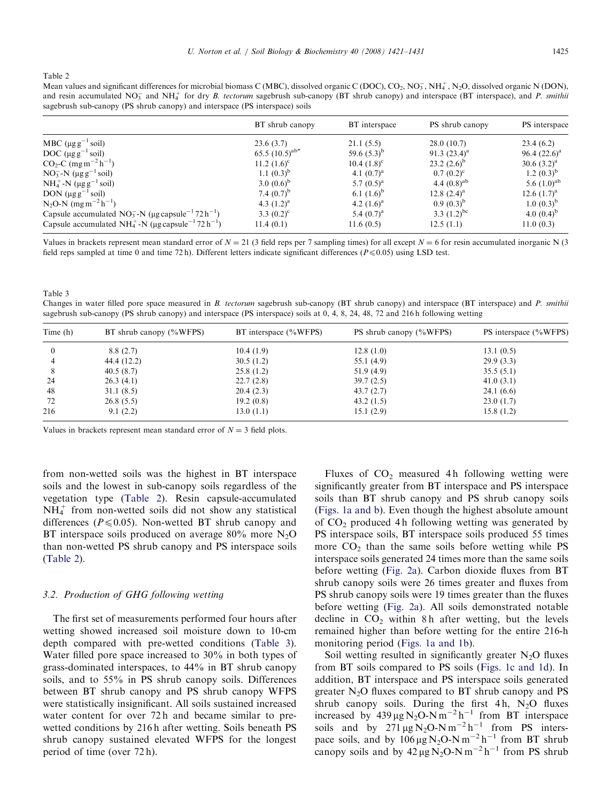<span id="page-4-0"></span>Table 2

Mean values and significant differences for microbial biomass C (MBC), dissolved organic C (DOC), CO<sub>2</sub>, NO<sub>3</sub>, NH<sub>4</sub><sup>+</sup>, N<sub>2</sub>O, dissolved organic N (DON), and resin accumulated NO<sub>3</sub> and NH<sub>4</sub><sup>+</sup> for dry *B. tectorum* sagebrush sub-canopy (BT shrub canopy) and interspace (BT interspace), and *P. smithi* sagebrush sub-canopy (PS shrub canopy) and interspace (PS interspace) soils

|                                                                                                          | BT shrub canopy      | BT interspace    | PS shrub canopy  | PS interspace    |
|----------------------------------------------------------------------------------------------------------|----------------------|------------------|------------------|------------------|
| MBC ( $\mu$ g g <sup>-1</sup> soil)                                                                      | 23.6(3.7)            | 21.1(5.5)        | 28.0(10.7)       | 23.4(6.2)        |
| DOC $(\mu g g^{-1} \text{ soil})$                                                                        | 65.5 $(10.5)^{ab}$ * | 59.6 $(5.3)^{b}$ | 91.3 $(23.4)^a$  | 96.4 $(22.6)^a$  |
| $CO_2$ -C (mg m <sup>-2</sup> h <sup>-1</sup> )                                                          | $11.2 (1.6)^{\circ}$ | $10.4~(1.8)^c$   | 23.2 $(2.6)^b$   | 30.6 $(3.2)^a$   |
| $NO_3^-N$ ( $\mu$ g g <sup>-1</sup> soil)                                                                | 1.1 $(0.3)^{p}$      | 4.1 $(0.7)^a$    | $0.7 (0.2)^c$    | 1.2 $(0.3)^{b}$  |
| NH <sub>4</sub> <sup>+</sup> -N ( $\mu$ g g <sup>-1</sup> soil)                                          | 3.0 $(0.6)^b$        | 5.7 $(0.5)^{a}$  | 4.4 $(0.8)^{ab}$ | 5.6 $(1.0)^{ab}$ |
| DON $(\mu g g^{-1} \text{ soil})$                                                                        | 7.4 $(0.7)^{b}$      | 6.1 $(1.6)^{6}$  | 12.8 $(2.4)^a$   | 12.6 $(1.7)^{a}$ |
| $N_2O-N$ (mg m <sup>-2</sup> h <sup>-1</sup> )                                                           | 4.3 $(1.2)^a$        | 4.2 $(1.6)^a$    | $0.9(0.3)^{b}$   | $1.0~(0.3)^{b}$  |
| Capsule accumulated NO <sub>3</sub> -N ( $\mu$ g capsule <sup>-1</sup> 72 h <sup>-1</sup> )              | 3.3 $(0.2)^c$        | 5.4 $(0.7)^a$    | 3.3 $(1.2)^{bc}$ | 4.0 $(0.4)^{b}$  |
| Capsule accumulated NH <sub>4</sub> <sup>-</sup> -N ( $\mu$ g capsule <sup>-1</sup> 72 h <sup>-1</sup> ) | 11.4(0.1)            | 11.6(0.5)        | 12.5(1.1)        | 11.0(0.3)        |

Values in brackets represent mean standard error of  $N = 21$  (3 field reps per 7 sampling times) for all except  $N = 6$  for resin accumulated inorganic N (3) field reps sampled at time 0 and time 72 h). Different letters indicate significant differences ( $P \le 0.05$ ) using LSD test.

Table 3 Changes in water filled pore space measured in B. tectorum sagebrush sub-canopy (BT shrub canopy) and interspace (BT interspace) and P. smithii sagebrush sub-canopy (PS shrub canopy) and interspace (PS interspace) soils at 0, 4, 8, 24, 48, 72 and 216 h following wetting

| Time (h) | BT shrub canopy (%WFPS) | BT interspace (%WFPS) | PS shrub canopy (%WFPS) | PS interspace (%WFPS) |
|----------|-------------------------|-----------------------|-------------------------|-----------------------|
|          | 8.8(2.7)                | 10.4(1.9)             | 12.8(1.0)               | 13.1(0.5)             |
| 4        | 44.4 (12.2)             | 30.5(1.2)             | 55.1(4.9)               | 29.9(3.3)             |
| 8        | 40.5(8.7)               | 25.8(1.2)             | 51.9(4.9)               | 35.5(5.1)             |
| 24       | 26.3(4.1)               | 22.7(2.8)             | 39.7(2.5)               | 41.0(3.1)             |
| 48       | 31.1(8.5)               | 20.4(2.3)             | 43.7(2.7)               | 24.1(6.6)             |
| 72       | 26.8(5.5)               | 19.2(0.8)             | 43.2(1.5)               | 23.0(1.7)             |
| 216      | 9.1(2.2)                | 13.0(1.1)             | 15.1(2.9)               | 15.8(1.2)             |

Values in brackets represent mean standard error of  $N = 3$  field plots.

from non-wetted soils was the highest in BT interspace soils and the lowest in sub-canopy soils regardless of the vegetation type (Table 2). Resin capsule-accumulated NH<sub>4</sub><sup>+</sup> from non-wetted soils did not show any statistical differences ( $P \le 0.05$ ). Non-wetted BT shrub canopy and BT interspace soils produced on average  $80\%$  more N<sub>2</sub>O than non-wetted PS shrub canopy and PS interspace soils (Table 2).

#### 3.2. Production of GHG following wetting

The first set of measurements performed four hours after wetting showed increased soil moisture down to 10-cm depth compared with pre-wetted conditions (Table 3). Water filled pore space increased to 30% in both types of grass-dominated interspaces, to 44% in BT shrub canopy soils, and to 55% in PS shrub canopy soils. Differences between BT shrub canopy and PS shrub canopy WFPS were statistically insignificant. All soils sustained increased water content for over 72 h and became similar to prewetted conditions by 216 h after wetting. Soils beneath PS shrub canopy sustained elevated WFPS for the longest period of time (over 72 h).

Fluxes of  $CO<sub>2</sub>$  measured 4h following wetting were significantly greater from BT interspace and PS interspace soils than BT shrub canopy and PS shrub canopy soils ([Figs. 1a and b\)](#page-5-0). Even though the highest absolute amount of  $CO<sub>2</sub>$  produced 4 h following wetting was generated by PS interspace soils, BT interspace soils produced 55 times more  $CO<sub>2</sub>$  than the same soils before wetting while PS interspace soils generated 24 times more than the same soils before wetting ([Fig. 2a\)](#page-6-0). Carbon dioxide fluxes from BT shrub canopy soils were 26 times greater and fluxes from PS shrub canopy soils were 19 times greater than the fluxes before wetting ([Fig. 2a\)](#page-6-0). All soils demonstrated notable decline in  $CO<sub>2</sub>$  within 8 h after wetting, but the levels remained higher than before wetting for the entire 216-h monitoring period ([Figs. 1a and 1b](#page-5-0)).

Soil wetting resulted in significantly greater  $N_2O$  fluxes from BT soils compared to PS soils [\(Figs. 1c and 1d](#page-5-0)). In addition, BT interspace and PS interspace soils generated greater  $N_2O$  fluxes compared to BT shrub canopy and PS shrub canopy soils. During the first  $4 h$ , N<sub>2</sub>O fluxes increased by  $439 \mu g N_2O-N m^{-2} h^{-1}$  from BT interspace soils and by  $271 \,\mu g \,\mathrm{N}_2\text{O-N}\,\mathrm{m}^{-2}\,\mathrm{h}^{-1}$  from PS interspace soils, and by  $106 \mu g N_2O-N m^{-2} h^{-1}$  from BT shrub canopy soils and by  $42 \mu g N_2O-N m^{-2} h^{-1}$  from PS shrub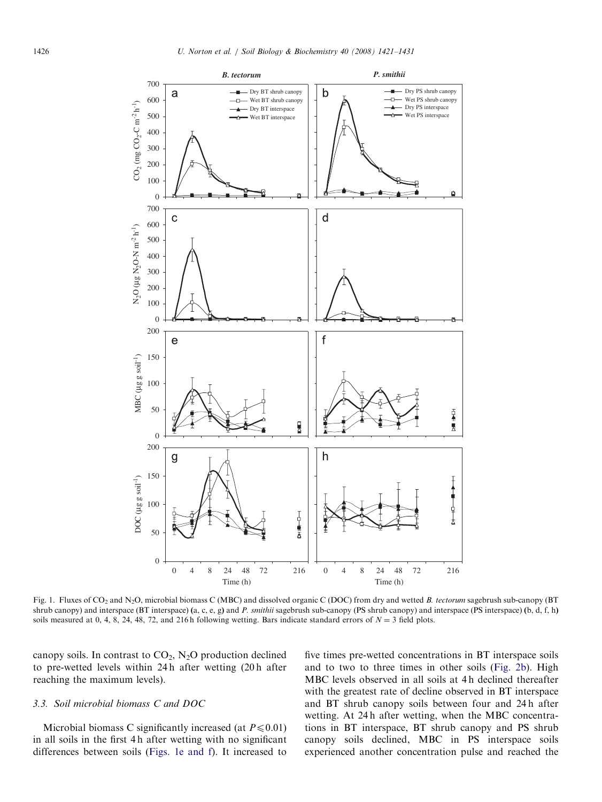<span id="page-5-0"></span>

Fig. 1. Fluxes of CO<sub>2</sub> and N<sub>2</sub>O, microbial biomass C (MBC) and dissolved organic C (DOC) from dry and wetted B. tectorum sagebrush sub-canopy (BT shrub canopy) and interspace (BT interspace) (a, c, e, g) and P. smithii sagebrush sub-canopy (PS shrub canopy) and interspace (PS interspace) (b, d, f, h) soils measured at 0, 4, 8, 24, 48, 72, and 216 h following wetting. Bars indicate standard errors of  $N = 3$  field plots.

canopy soils. In contrast to  $CO<sub>2</sub>$ , N<sub>2</sub>O production declined to pre-wetted levels within 24 h after wetting (20 h after reaching the maximum levels).

# 3.3. Soil microbial biomass C and DOC

Microbial biomass C significantly increased (at  $P \le 0.01$ ) in all soils in the first 4 h after wetting with no significant differences between soils (Figs. 1e and f). It increased to

five times pre-wetted concentrations in BT interspace soils and to two to three times in other soils ([Fig. 2b\)](#page-6-0). High MBC levels observed in all soils at 4 h declined thereafter with the greatest rate of decline observed in BT interspace and BT shrub canopy soils between four and 24 h after wetting. At 24 h after wetting, when the MBC concentrations in BT interspace, BT shrub canopy and PS shrub canopy soils declined, MBC in PS interspace soils experienced another concentration pulse and reached the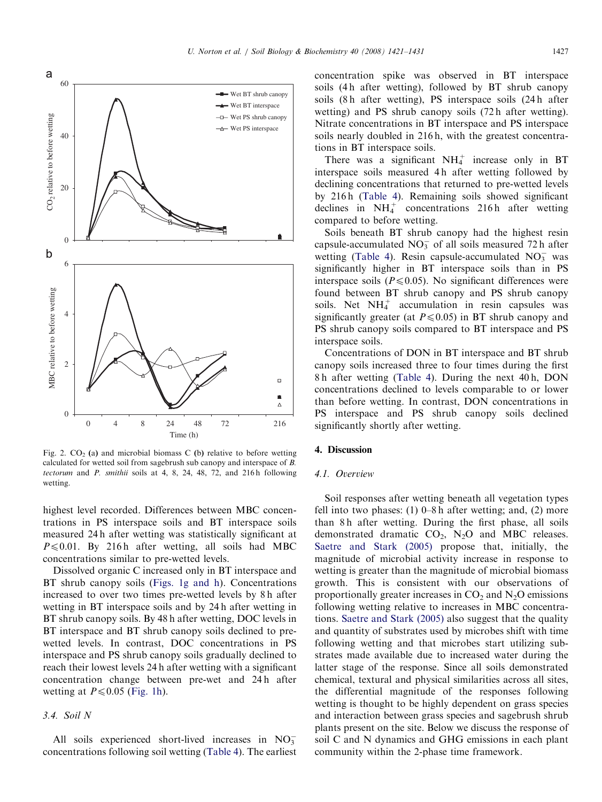<span id="page-6-0"></span>

Fig. 2.  $CO<sub>2</sub>$  (a) and microbial biomass C (b) relative to before wetting calculated for wetted soil from sagebrush sub canopy and interspace of B. tectorum and  $P$ . smithii soils at 4, 8, 24, 48, 72, and 216h following wetting.

highest level recorded. Differences between MBC concentrations in PS interspace soils and BT interspace soils measured 24 h after wetting was statistically significant at  $P \le 0.01$ . By 216 h after wetting, all soils had MBC concentrations similar to pre-wetted levels.

Dissolved organic C increased only in BT interspace and BT shrub canopy soils [\(Figs. 1g and h](#page-5-0)). Concentrations increased to over two times pre-wetted levels by 8 h after wetting in BT interspace soils and by 24 h after wetting in BT shrub canopy soils. By 48 h after wetting, DOC levels in BT interspace and BT shrub canopy soils declined to prewetted levels. In contrast, DOC concentrations in PS interspace and PS shrub canopy soils gradually declined to reach their lowest levels 24 h after wetting with a significant concentration change between pre-wet and 24 h after wetting at  $P \le 0.05$  ([Fig. 1h](#page-5-0)).

# 3.4. Soil N

All soils experienced short-lived increases in  $NO<sub>3</sub>$ concentrations following soil wetting [\(Table 4](#page-7-0)). The earliest concentration spike was observed in BT interspace soils (4 h after wetting), followed by BT shrub canopy soils (8 h after wetting), PS interspace soils (24 h after wetting) and PS shrub canopy soils (72 h after wetting). Nitrate concentrations in BT interspace and PS interspace soils nearly doubled in 216 h, with the greatest concentrations in BT interspace soils.

There was a significant  $NH_4^+$  increase only in BT interspace soils measured 4h after wetting followed by declining concentrations that returned to pre-wetted levels by 216 h ([Table 4\)](#page-7-0). Remaining soils showed significant declines in  $NH<sub>4</sub><sup>+</sup>$  concentrations 216h after wetting compared to before wetting.

Soils beneath BT shrub canopy had the highest resin capsule-accumulated  $NO_3^-$  of all soils measured 72 h after wetting [\(Table 4\)](#page-7-0). Resin capsule-accumulated  $NO<sub>3</sub><sup>-</sup>$  was significantly higher in BT interspace soils than in PS interspace soils ( $P \le 0.05$ ). No significant differences were found between BT shrub canopy and PS shrub canopy soils. Net  $NH_4^+$  accumulation in resin capsules was significantly greater (at  $P \le 0.05$ ) in BT shrub canopy and PS shrub canopy soils compared to BT interspace and PS interspace soils.

Concentrations of DON in BT interspace and BT shrub canopy soils increased three to four times during the first 8 h after wetting ([Table 4\)](#page-7-0). During the next 40 h, DON concentrations declined to levels comparable to or lower than before wetting. In contrast, DON concentrations in PS interspace and PS shrub canopy soils declined significantly shortly after wetting.

# 4. Discussion

# 4.1. Overview

Soil responses after wetting beneath all vegetation types fell into two phases: (1)  $0-8$  h after wetting; and, (2) more than 8h after wetting. During the first phase, all soils demonstrated dramatic  $CO<sub>2</sub>$ , N<sub>2</sub>O and MBC releases. [Saetre and Stark \(2005\)](#page-10-0) propose that, initially, the magnitude of microbial activity increase in response to wetting is greater than the magnitude of microbial biomass growth. This is consistent with our observations of proportionally greater increases in  $CO<sub>2</sub>$  and  $N<sub>2</sub>O$  emissions following wetting relative to increases in MBC concentrations. [Saetre and Stark \(2005\)](#page-10-0) also suggest that the quality and quantity of substrates used by microbes shift with time following wetting and that microbes start utilizing substrates made available due to increased water during the latter stage of the response. Since all soils demonstrated chemical, textural and physical similarities across all sites, the differential magnitude of the responses following wetting is thought to be highly dependent on grass species and interaction between grass species and sagebrush shrub plants present on the site. Below we discuss the response of soil C and N dynamics and GHG emissions in each plant community within the 2-phase time framework.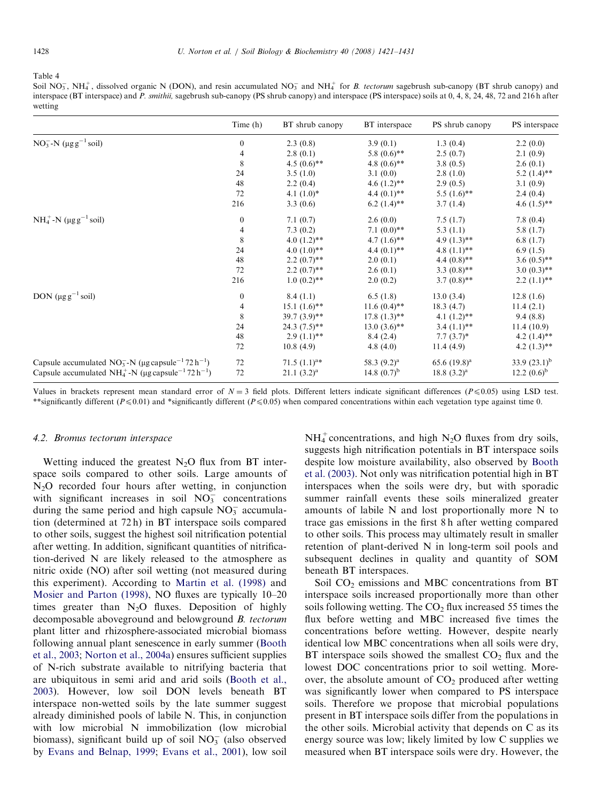<span id="page-7-0"></span>Table 4

Soil NO<sub>3</sub>, NH<sub>4</sub><sup>+</sup>, dissolved organic N (DON), and resin accumulated NO<sub>3</sub> and NH<sub>4</sub><sup>+</sup> for *B. tectorum* sagebrush sub-canopy (BT shrub canopy) and interspace (BT interspace) and P. smithii, sagebrush sub-canopy (PS shrub canopy) and interspace (PS interspace) soils at 0, 4, 8, 24, 48, 72 and 216 h after wetting

|                                                                                                          | Time (h)         | BT shrub canopy   | BT interspace               | PS shrub canopy | PS interspace    |
|----------------------------------------------------------------------------------------------------------|------------------|-------------------|-----------------------------|-----------------|------------------|
| $NO_3^-$ -N ( $\mu$ g g <sup>-1</sup> soil)                                                              | $\boldsymbol{0}$ | 2.3(0.8)          | 3.9(0.1)                    | 1.3(0.4)        | 2.2(0.0)         |
|                                                                                                          | 4                | 2.8(0.1)          | 5.8 $(0.6)$ **              | 2.5(0.7)        | 2.1(0.9)         |
|                                                                                                          | 8                | $4.5(0.6)$ **     | 4.8 $(0.6)$ <sup>**</sup>   | 3.8(0.5)        | 2.6(0.1)         |
|                                                                                                          | 24               | 3.5(1.0)          | 3.1(0.0)                    | 2.8(1.0)        | $5.2(1.4)$ **    |
|                                                                                                          | 48               | 2.2(0.4)          | 4.6 $(1.2)$ <sup>**</sup>   | 2.9(0.5)        | 3.1(0.9)         |
|                                                                                                          | 72               | 4.1 $(1.0)^*$     | 4.4 $(0.1)$ <sup>**</sup>   | $5.5(1.6)$ **   | 2.4(0.4)         |
|                                                                                                          | 216              | 3.3(0.6)          | $6.2$ $(1.4)$ <sup>**</sup> | 3.7(1.4)        | 4.6 $(1.5)$ **   |
| $NH_4^+$ -N ( $\mu$ g g <sup>-1</sup> soil)                                                              | $\boldsymbol{0}$ | 7.1(0.7)          | 2.6(0.0)                    | 7.5(1.7)        | 7.8(0.4)         |
|                                                                                                          | 4                | 7.3(0.2)          | 7.1 $(0.0)$ **              | 5.3(1.1)        | 5.8 $(1.7)$      |
|                                                                                                          | 8                | 4.0 $(1.2)$ **    | 4.7 $(1.6)$ **              | 4.9 $(1.3)$ **  | 6.8 $(1.7)$      |
|                                                                                                          | 24               | $4.0(1.0)**$      | $4.4(0.1)$ **               | $4.8(1.1)$ **   | 6.9(1.5)         |
|                                                                                                          | 48               | $2.2(0.7)$ **     | 2.0(0.1)                    | 4.4 $(0.8)$ **  | $3.6(0.5)$ **    |
|                                                                                                          | 72               | $2.2(0.7)$ **     | 2.6(0.1)                    | $3.3(0.8)$ **   | $3.0(0.3)$ **    |
|                                                                                                          | 216              | $1.0(0.2)$ **     | 2.0(0.2)                    | $3.7(0.8)$ **   | $2.2(1.1)$ **    |
| DON $(\mu g g^{-1} \text{ soil})$                                                                        | $\boldsymbol{0}$ | 8.4(1.1)          | 6.5(1.8)                    | 13.0(3.4)       | 12.8(1.6)        |
|                                                                                                          | 4                | $15.1 (1.6)$ **   | $11.6(0.4)$ **              | 18.3(4.7)       | 11.4(2.1)        |
|                                                                                                          | 8                | $39.7(3.9)$ **    | $17.8(1.3)$ **              | 4.1 $(1.2)$ **  | 9.4(8.8)         |
|                                                                                                          | 24               | $24.3(7.5)$ **    | $13.0(3.6)$ **              | $3.4(1.1)$ **   | 11.4(10.9)       |
|                                                                                                          | 48               | $2.9(1.1)$ **     | 8.4(2.4)                    | $7.7(3.7)$ *    | $4.2(1.4)$ **    |
|                                                                                                          | 72               | 10.8(4.9)         | 4.8 $(4.0)$                 | 11.4(4.9)       | 4.2 $(1.3)$ **   |
| Capsule accumulated $NO_3^-N$ (µg capsule <sup>-1</sup> 72 h <sup>-1</sup> )                             | 72               | $71.5 (1.1)^{a*}$ | 58.3 $(9.2)^a$              | $65.6(19.8)^a$  | 33.9 $(23.1)^b$  |
| Capsule accumulated NH <sub>4</sub> <sup>-</sup> -N ( $\mu$ g capsule <sup>-1</sup> 72 h <sup>-1</sup> ) | 72               | $21.1 (3.2)^a$    | 14.8 $(0.7)^{b}$            | 18.8 $(3.2)^a$  | 12.2 $(0.6)^{b}$ |

Values in brackets represent mean standard error of  $N = 3$  field plots. Different letters indicate significant differences ( $P \le 0.05$ ) using LSD test. \*\*significantly different ( $P \le 0.01$ ) and \*significantly different ( $P \le 0.05$ ) when compared concentrations within each vegetation type against time 0.

#### 4.2. Bromus tectorum interspace

Wetting induced the greatest  $N_2O$  flux from BT interspace soils compared to other soils. Large amounts of  $N<sub>2</sub>O$  recorded four hours after wetting, in conjunction with significant increases in soil  $NO<sub>3</sub><sup>-</sup>$  concentrations during the same period and high capsule  $NO<sub>3</sub><sup>-</sup>$  accumulation (determined at 72 h) in BT interspace soils compared to other soils, suggest the highest soil nitrification potential after wetting. In addition, significant quantities of nitrification-derived N are likely released to the atmosphere as nitric oxide (NO) after soil wetting (not measured during this experiment). According to [Martin et al. \(1998\)](#page-10-0) and [Mosier and Parton \(1998\),](#page-10-0) NO fluxes are typically 10–20 times greater than  $N_2O$  fluxes. Deposition of highly decomposable aboveground and belowground B. tectorum plant litter and rhizosphere-associated microbial biomass following annual plant senescence in early summer [\(Booth](#page-9-0) [et al., 2003;](#page-9-0) [Norton et al., 2004a](#page-10-0)) ensures sufficient supplies of N-rich substrate available to nitrifying bacteria that are ubiquitous in semi arid and arid soils [\(Booth et al.,](#page-9-0) [2003\)](#page-9-0). However, low soil DON levels beneath BT interspace non-wetted soils by the late summer suggest already diminished pools of labile N. This, in conjunction with low microbial N immobilization (low microbial biomass), significant build up of soil  $NO<sub>3</sub><sup>-</sup>$  (also observed by [Evans and Belnap, 1999;](#page-10-0) [Evans et al., 2001](#page-10-0)), low soil

 $NH<sub>4</sub><sup>+</sup> concentrations, and high N<sub>2</sub>O fluxes from dry soils,$ suggests high nitrification potentials in BT interspace soils despite low moisture availability, also observed by [Booth](#page-9-0) [et al. \(2003\)](#page-9-0). Not only was nitrification potential high in BT interspaces when the soils were dry, but with sporadic summer rainfall events these soils mineralized greater amounts of labile N and lost proportionally more N to trace gas emissions in the first 8 h after wetting compared to other soils. This process may ultimately result in smaller retention of plant-derived N in long-term soil pools and subsequent declines in quality and quantity of SOM beneath BT interspaces.

Soil  $CO<sub>2</sub>$  emissions and MBC concentrations from BT interspace soils increased proportionally more than other soils following wetting. The  $CO<sub>2</sub>$  flux increased 55 times the flux before wetting and MBC increased five times the concentrations before wetting. However, despite nearly identical low MBC concentrations when all soils were dry, BT interspace soils showed the smallest  $CO<sub>2</sub>$  flux and the lowest DOC concentrations prior to soil wetting. Moreover, the absolute amount of  $CO<sub>2</sub>$  produced after wetting was significantly lower when compared to PS interspace soils. Therefore we propose that microbial populations present in BT interspace soils differ from the populations in the other soils. Microbial activity that depends on C as its energy source was low; likely limited by low C supplies we measured when BT interspace soils were dry. However, the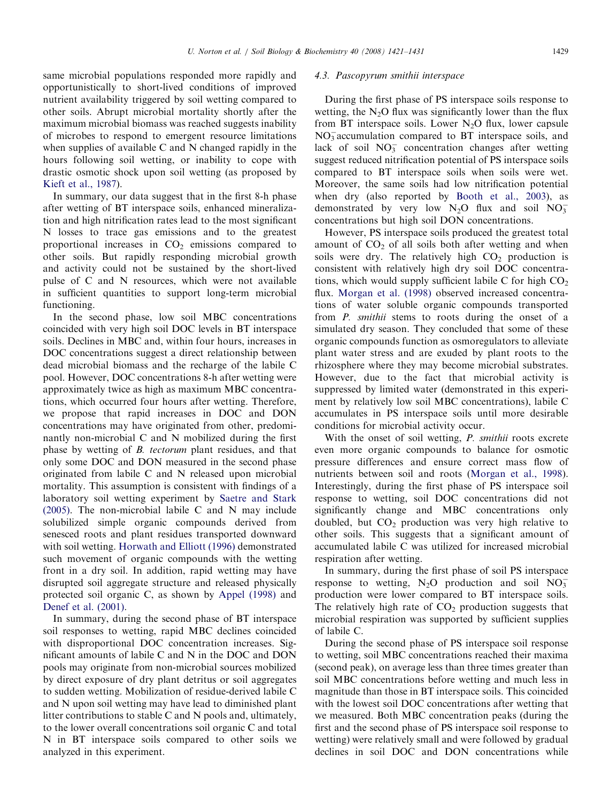same microbial populations responded more rapidly and opportunistically to short-lived conditions of improved nutrient availability triggered by soil wetting compared to other soils. Abrupt microbial mortality shortly after the maximum microbial biomass was reached suggests inability of microbes to respond to emergent resource limitations when supplies of available C and N changed rapidly in the hours following soil wetting, or inability to cope with drastic osmotic shock upon soil wetting (as proposed by [Kieft et al., 1987](#page-10-0)).

In summary, our data suggest that in the first 8-h phase after wetting of BT interspace soils, enhanced mineralization and high nitrification rates lead to the most significant N losses to trace gas emissions and to the greatest proportional increases in  $CO<sub>2</sub>$  emissions compared to other soils. But rapidly responding microbial growth and activity could not be sustained by the short-lived pulse of C and N resources, which were not available in sufficient quantities to support long-term microbial functioning.

In the second phase, low soil MBC concentrations coincided with very high soil DOC levels in BT interspace soils. Declines in MBC and, within four hours, increases in DOC concentrations suggest a direct relationship between dead microbial biomass and the recharge of the labile C pool. However, DOC concentrations 8-h after wetting were approximately twice as high as maximum MBC concentrations, which occurred four hours after wetting. Therefore, we propose that rapid increases in DOC and DON concentrations may have originated from other, predominantly non-microbial C and N mobilized during the first phase by wetting of B. tectorum plant residues, and that only some DOC and DON measured in the second phase originated from labile C and N released upon microbial mortality. This assumption is consistent with findings of a laboratory soil wetting experiment by [Saetre and Stark](#page-10-0) [\(2005\)](#page-10-0). The non-microbial labile C and N may include solubilized simple organic compounds derived from senesced roots and plant residues transported downward with soil wetting. [Horwath and Elliott \(1996\)](#page-10-0) demonstrated such movement of organic compounds with the wetting front in a dry soil. In addition, rapid wetting may have disrupted soil aggregate structure and released physically protected soil organic C, as shown by [Appel \(1998\)](#page-9-0) and [Denef et al. \(2001\).](#page-10-0)

In summary, during the second phase of BT interspace soil responses to wetting, rapid MBC declines coincided with disproportional DOC concentration increases. Significant amounts of labile C and N in the DOC and DON pools may originate from non-microbial sources mobilized by direct exposure of dry plant detritus or soil aggregates to sudden wetting. Mobilization of residue-derived labile C and N upon soil wetting may have lead to diminished plant litter contributions to stable C and N pools and, ultimately, to the lower overall concentrations soil organic C and total N in BT interspace soils compared to other soils we analyzed in this experiment.

## 4.3. Pascopyrum smithii interspace

During the first phase of PS interspace soils response to wetting, the  $N<sub>2</sub>O$  flux was significantly lower than the flux from BT interspace soils. Lower  $N_2O$  flux, lower capsule  $NO<sub>3</sub><sup>-</sup> accumulation compared to BT interspace soils, and$ lack of soil  $NO_3^-$  concentration changes after wetting suggest reduced nitrification potential of PS interspace soils compared to BT interspace soils when soils were wet. Moreover, the same soils had low nitrification potential when dry (also reported by [Booth et al., 2003\)](#page-9-0), as demonstrated by very low  $N_2O$  flux and soil  $NO_3^$ concentrations but high soil DON concentrations.

However, PS interspace soils produced the greatest total amount of  $CO<sub>2</sub>$  of all soils both after wetting and when soils were dry. The relatively high  $CO<sub>2</sub>$  production is consistent with relatively high dry soil DOC concentrations, which would supply sufficient labile C for high  $CO<sub>2</sub>$ flux. [Morgan et al. \(1998\)](#page-10-0) observed increased concentrations of water soluble organic compounds transported from P. smithii stems to roots during the onset of a simulated dry season. They concluded that some of these organic compounds function as osmoregulators to alleviate plant water stress and are exuded by plant roots to the rhizosphere where they may become microbial substrates. However, due to the fact that microbial activity is suppressed by limited water (demonstrated in this experiment by relatively low soil MBC concentrations), labile C accumulates in PS interspace soils until more desirable conditions for microbial activity occur.

With the onset of soil wetting, P. smithii roots excrete even more organic compounds to balance for osmotic pressure differences and ensure correct mass flow of nutrients between soil and roots ([Morgan et al., 1998\)](#page-10-0). Interestingly, during the first phase of PS interspace soil response to wetting, soil DOC concentrations did not significantly change and MBC concentrations only doubled, but  $CO<sub>2</sub>$  production was very high relative to other soils. This suggests that a significant amount of accumulated labile C was utilized for increased microbial respiration after wetting.

In summary, during the first phase of soil PS interspace response to wetting,  $N_2O$  production and soil  $NO_3^$ production were lower compared to BT interspace soils. The relatively high rate of  $CO<sub>2</sub>$  production suggests that microbial respiration was supported by sufficient supplies of labile C.

During the second phase of PS interspace soil response to wetting, soil MBC concentrations reached their maxima (second peak), on average less than three times greater than soil MBC concentrations before wetting and much less in magnitude than those in BT interspace soils. This coincided with the lowest soil DOC concentrations after wetting that we measured. Both MBC concentration peaks (during the first and the second phase of PS interspace soil response to wetting) were relatively small and were followed by gradual declines in soil DOC and DON concentrations while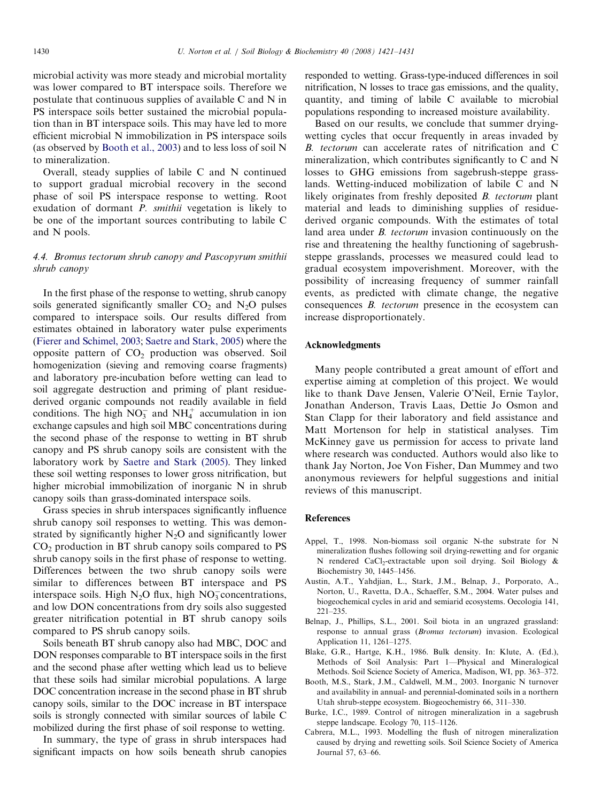<span id="page-9-0"></span>microbial activity was more steady and microbial mortality was lower compared to BT interspace soils. Therefore we postulate that continuous supplies of available C and N in PS interspace soils better sustained the microbial population than in BT interspace soils. This may have led to more efficient microbial N immobilization in PS interspace soils (as observed by Booth et al., 2003) and to less loss of soil N to mineralization.

Overall, steady supplies of labile C and N continued to support gradual microbial recovery in the second phase of soil PS interspace response to wetting. Root exudation of dormant P. smithii vegetation is likely to be one of the important sources contributing to labile C and N pools.

# 4.4. Bromus tectorum shrub canopy and Pascopyrum smithii shrub canopy

In the first phase of the response to wetting, shrub canopy soils generated significantly smaller  $CO<sub>2</sub>$  and  $N<sub>2</sub>O$  pulses compared to interspace soils. Our results differed from estimates obtained in laboratory water pulse experiments [\(Fierer and Schimel, 2003](#page-10-0); [Saetre and Stark, 2005\)](#page-10-0) where the opposite pattern of  $CO<sub>2</sub>$  production was observed. Soil homogenization (sieving and removing coarse fragments) and laboratory pre-incubation before wetting can lead to soil aggregate destruction and priming of plant residuederived organic compounds not readily available in field conditions. The high  $NO_3^-$  and  $NH_4^+$  accumulation in ion exchange capsules and high soil MBC concentrations during the second phase of the response to wetting in BT shrub canopy and PS shrub canopy soils are consistent with the laboratory work by [Saetre and Stark \(2005\)](#page-10-0). They linked these soil wetting responses to lower gross nitrification, but higher microbial immobilization of inorganic N in shrub canopy soils than grass-dominated interspace soils.

Grass species in shrub interspaces significantly influence shrub canopy soil responses to wetting. This was demonstrated by significantly higher  $N_2O$  and significantly lower  $CO<sub>2</sub>$  production in BT shrub canopy soils compared to PS shrub canopy soils in the first phase of response to wetting. Differences between the two shrub canopy soils were similar to differences between BT interspace and PS interspace soils. High  $N_2O$  flux, high  $NO_3^-$  concentrations, and low DON concentrations from dry soils also suggested greater nitrification potential in BT shrub canopy soils compared to PS shrub canopy soils.

Soils beneath BT shrub canopy also had MBC, DOC and DON responses comparable to BT interspace soils in the first and the second phase after wetting which lead us to believe that these soils had similar microbial populations. A large DOC concentration increase in the second phase in BT shrub canopy soils, similar to the DOC increase in BT interspace soils is strongly connected with similar sources of labile C mobilized during the first phase of soil response to wetting.

In summary, the type of grass in shrub interspaces had significant impacts on how soils beneath shrub canopies responded to wetting. Grass-type-induced differences in soil nitrification, N losses to trace gas emissions, and the quality, quantity, and timing of labile C available to microbial populations responding to increased moisture availability.

Based on our results, we conclude that summer dryingwetting cycles that occur frequently in areas invaded by B. tectorum can accelerate rates of nitrification and C mineralization, which contributes significantly to C and N losses to GHG emissions from sagebrush-steppe grasslands. Wetting-induced mobilization of labile C and N likely originates from freshly deposited *B. tectorum* plant material and leads to diminishing supplies of residuederived organic compounds. With the estimates of total land area under *B. tectorum* invasion continuously on the rise and threatening the healthy functioning of sagebrushsteppe grasslands, processes we measured could lead to gradual ecosystem impoverishment. Moreover, with the possibility of increasing frequency of summer rainfall events, as predicted with climate change, the negative consequences B. tectorum presence in the ecosystem can increase disproportionately.

# Acknowledgments

Many people contributed a great amount of effort and expertise aiming at completion of this project. We would like to thank Dave Jensen, Valerie O'Neil, Ernie Taylor, Jonathan Anderson, Travis Laas, Dettie Jo Osmon and Stan Clapp for their laboratory and field assistance and Matt Mortenson for help in statistical analyses. Tim McKinney gave us permission for access to private land where research was conducted. Authors would also like to thank Jay Norton, Joe Von Fisher, Dan Mummey and two anonymous reviewers for helpful suggestions and initial reviews of this manuscript.

# References

- Appel, T., 1998. Non-biomass soil organic N-the substrate for N mineralization flushes following soil drying-rewetting and for organic N rendered CaCl<sub>2</sub>-extractable upon soil drying. Soil Biology  $\&$ Biochemistry 30, 1445–1456.
- Austin, A.T., Yahdjian, L., Stark, J.M., Belnap, J., Porporato, A., Norton, U., Ravetta, D.A., Schaeffer, S.M., 2004. Water pulses and biogeochemical cycles in arid and semiarid ecosystems. Oecologia 141, 221–235.
- Belnap, J., Phillips, S.L., 2001. Soil biota in an ungrazed grassland: response to annual grass (Bromus tectorum) invasion. Ecological Application 11, 1261–1275.
- Blake, G.R., Hartge, K.H., 1986. Bulk density. In: Klute, A. (Ed.), Methods of Soil Analysis: Part 1—Physical and Mineralogical Methods. Soil Science Society of America, Madison, WI, pp. 363–372.
- Booth, M.S., Stark, J.M., Caldwell, M.M., 2003. Inorganic N turnover and availability in annual- and perennial-dominated soils in a northern Utah shrub-steppe ecosystem. Biogeochemistry 66, 311–330.
- Burke, I.C., 1989. Control of nitrogen mineralization in a sagebrush steppe landscape. Ecology 70, 115–1126.
- Cabrera, M.L., 1993. Modelling the flush of nitrogen mineralization caused by drying and rewetting soils. Soil Science Society of America Journal 57, 63–66.